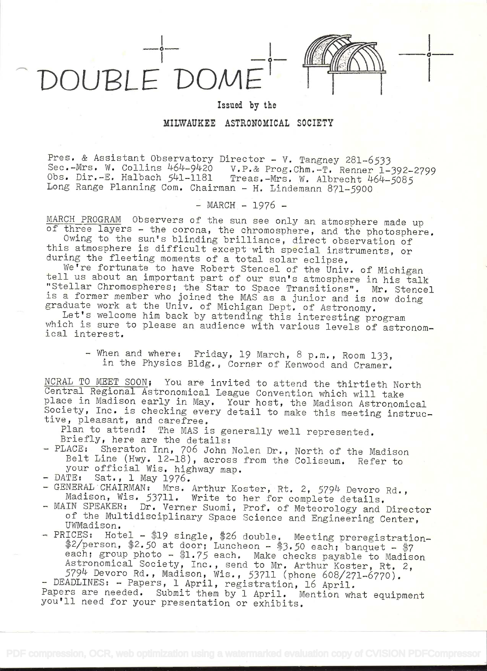DOUBLE DOMI



o

## Issued by the

MILWAUKEE ASTRONOMICAL SOCIETY

Pres. & Assistant Observatory Director - V. Tangney 281-6533<br>Sec.-Mrs. W. Collins 464-9420 V.P.& Prog.Chm.-T. Renner 1-392-2799<br>Obs. Dir.-E. Halbach 541-1181 Treas.-Mrs. W. Albrecht 464-5085<br>Long Range Planning Com. Chairm

 $-MARCH - 1976 -$ 

MARCH PROGRAM Observers of the sun see only an atmosphere made up<br>of three layers - the corona, the chromosphere, and the photosphere.<br>Owing to the sun's blinding brilliance, direct observation of<br>this atmosphere is diffic

- When and where: Friday, 19 March, 8 p.m., Room 133,<br>in the Physics Bldg., Corner of Kenwood and Cramer.

NCRAL TO MEET SOON; You are invited to attend the thirtieth North<br>Central Regional Astronomical League Convention which will take<br>place in Madison early in May. Your host, the Madison Astronomical<br>Society, Inc. is checking

- DATE: Sat., I May 1976.<br>- GENERAL CHAIRMAN: Mrs. Arthur Koster, Rt. 2, 5794 Devoro Rd.,<br>Madison, Wis. 53711. Write to her for complete details.<br>- MAIN SPEAKER: Dr. Verner Suomi, Prof. of Meteorology and Director<br>of the M